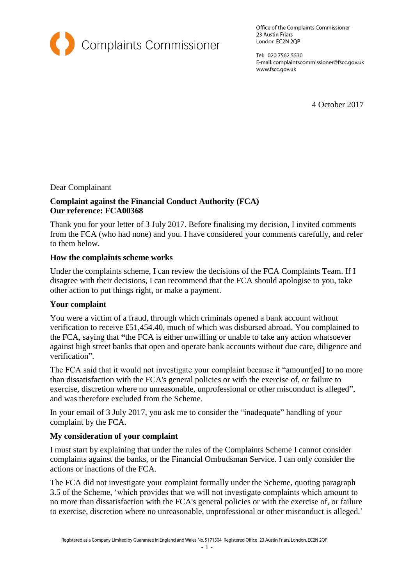

Office of the Complaints Commissioner 23 Austin Friars London EC2N 2QP

Tel: 020 7562 5530 E-mail: complaintscommissioner@fscc.gov.uk www.fscc.gov.uk

4 October 2017

### Dear Complainant

# **Complaint against the Financial Conduct Authority (FCA) Our reference: FCA00368**

Thank you for your letter of 3 July 2017. Before finalising my decision, I invited comments from the FCA (who had none) and you. I have considered your comments carefully, and refer to them below.

### **How the complaints scheme works**

Under the complaints scheme, I can review the decisions of the FCA Complaints Team. If I disagree with their decisions, I can recommend that the FCA should apologise to you, take other action to put things right, or make a payment.

# **Your complaint**

You were a victim of a fraud, through which criminals opened a bank account without verification to receive £51,454.40, much of which was disbursed abroad. You complained to the FCA, saying that **"**the FCA is either unwilling or unable to take any action whatsoever against high street banks that open and operate bank accounts without due care, diligence and verification".

The FCA said that it would not investigate your complaint because it "amount[ed] to no more than dissatisfaction with the FCA's general policies or with the exercise of, or failure to exercise, discretion where no unreasonable, unprofessional or other misconduct is alleged", and was therefore excluded from the Scheme.

In your email of 3 July 2017, you ask me to consider the "inadequate" handling of your complaint by the FCA.

# **My consideration of your complaint**

I must start by explaining that under the rules of the Complaints Scheme I cannot consider complaints against the banks, or the Financial Ombudsman Service. I can only consider the actions or inactions of the FCA.

The FCA did not investigate your complaint formally under the Scheme, quoting paragraph 3.5 of the Scheme, 'which provides that we will not investigate complaints which amount to no more than dissatisfaction with the FCA's general policies or with the exercise of, or failure to exercise, discretion where no unreasonable, unprofessional or other misconduct is alleged.'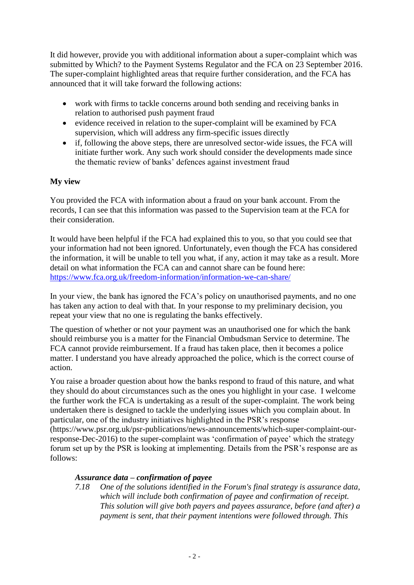It did however, provide you with additional information about a super-complaint which was submitted by Which? to the Payment Systems Regulator and the FCA on 23 September 2016. The super-complaint highlighted areas that require further consideration, and the FCA has announced that it will take forward the following actions:

- work with firms to tackle concerns around both sending and receiving banks in relation to authorised push payment fraud
- evidence received in relation to the super-complaint will be examined by FCA supervision, which will address any firm-specific issues directly
- if, following the above steps, there are unresolved sector-wide issues, the FCA will initiate further work. Any such work should consider the developments made since the thematic review of banks' defences against investment fraud

# **My view**

You provided the FCA with information about a fraud on your bank account. From the records, I can see that this information was passed to the Supervision team at the FCA for their consideration.

It would have been helpful if the FCA had explained this to you, so that you could see that your information had not been ignored. Unfortunately, even though the FCA has considered the information, it will be unable to tell you what, if any, action it may take as a result. More detail on what information the FCA can and cannot share can be found here: <https://www.fca.org.uk/freedom-information/information-we-can-share/>

In your view, the bank has ignored the FCA's policy on unauthorised payments, and no one has taken any action to deal with that. In your response to my preliminary decision, you repeat your view that no one is regulating the banks effectively.

The question of whether or not your payment was an unauthorised one for which the bank should reimburse you is a matter for the Financial Ombudsman Service to determine. The FCA cannot provide reimbursement. If a fraud has taken place, then it becomes a police matter. I understand you have already approached the police, which is the correct course of action.

You raise a broader question about how the banks respond to fraud of this nature, and what they should do about circumstances such as the ones you highlight in your case. I welcome the further work the FCA is undertaking as a result of the super-complaint. The work being undertaken there is designed to tackle the underlying issues which you complain about. In particular, one of the industry initiatives highlighted in the PSR's response

(https://www.psr.org.uk/psr-publications/news-announcements/which-super-complaint-ourresponse-Dec-2016) to the super-complaint was 'confirmation of payee' which the strategy forum set up by the PSR is looking at implementing. Details from the PSR's response are as follows:

### *Assurance data – confirmation of payee*

*7.18 One of the solutions identified in the Forum's final strategy is assurance data, which will include both confirmation of payee and confirmation of receipt. This solution will give both payers and payees assurance, before (and after) a payment is sent, that their payment intentions were followed through. This*